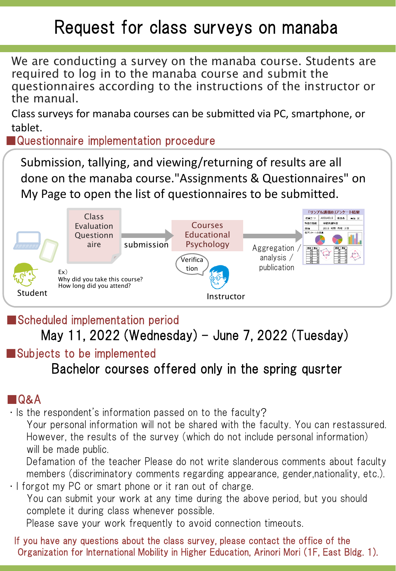# Request for class surveys on manaba

We are conducting a survey on the manaba course. Students are required to log in to the manaba course and submit the questionnaires according to the instructions of the instructor or the manual.

Class surveys for manaba courses can be submitted via PC, smartphone, or tablet.

■Questionnaire implementation procedure

Submission, tallying, and viewing/returning of results are all done on the manaba course."Assignments & Questionnaires" on My Page to open the list of questionnaires to be submitted.



■Scheduled implementation period

May 11, 2022 (Wednesday) – June 7, 2022 (Tuesday)

### ■Subjects to be implemented

Bachelor courses offered only in the spring qusrter

### ■Q&A

・Is the respondent's information passed on to the faculty?

Your personal information will not be shared with the faculty. You can restassured. However, the results of the survey (which do not include personal information) will be made public.

Defamation of the teacher Please do not write slanderous comments about faculty members (discriminatory comments regarding appearance, gender,nationality, etc.). ・I forgot my PC or smart phone or it ran out of charge.

You can submit your work at any time during the above period, but you should complete it during class whenever possible.

Please save your work frequently to avoid connection timeouts.

If you have any questions about the class survey, please contact the office of the Organization for International Mobility in Higher Education, Arinori Mori (1F, East Bldg. 1).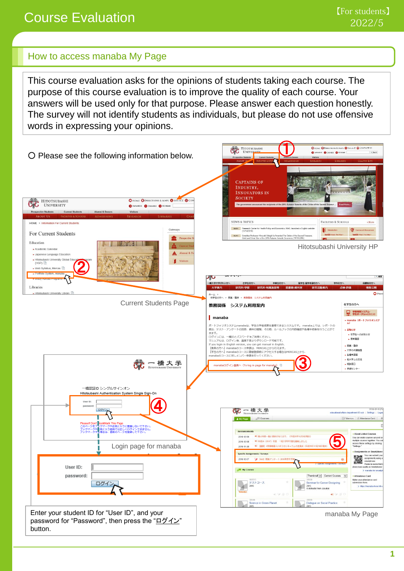## Course Evaluation

#### How to access manaba My Page

This course evaluation asks for the opinions of students taking each course. The purpose of this course evaluation is to improve the quality of each course. Your answers will be used only for that purpose. Please answer each question honestly. The survey will not identify students as individuals, but please do not use offensive words in expressing your opinions.

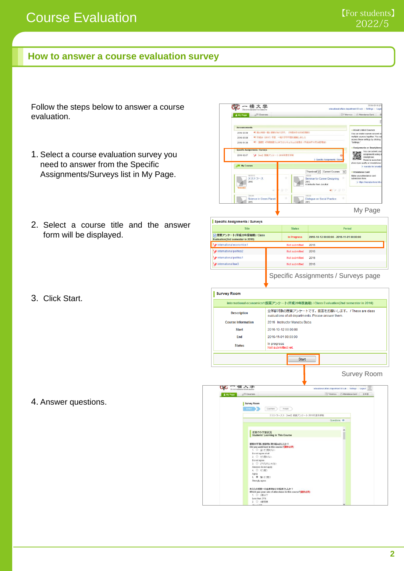#### **How to answer a course evaluation survey**

Follow the steps below to answer a course evaluation.

- 1. Select a course evaluation survey you need to answer from the Specific Assignments/Surveys list in My Page.
- 2. Select a course title and the answer form will be displayed.
- 3. Click Start.



| <b>Specific Assignments / Surveys</b>                           |                    |                                           |
|-----------------------------------------------------------------|--------------------|-------------------------------------------|
| <b>Title</b>                                                    | <b>Status</b>      | Period                                    |
| ■ 授業アンケート(平成28年度後期) / Class<br>Evaluation(2nd semester in 2016) | <b>In Progress</b> | 2016-10-12 00:00:00 - 2016-11-01 00:00:00 |
| international economics1                                        | Not submitted      | 2016                                      |
| international politics2                                         | Not submitted      | 2016                                      |
| international politics1                                         | Not submitted      | 2016                                      |
| international law3                                              | Not submitted      | 2016                                      |
|                                                                 |                    |                                           |

Specific Assignments / Surveys page

|                                  |                                                                                                                                                                                                                                        | international economics1:授業アンケート(平成28年度後期) / Class Evaluation(2nd semester in 2016) |
|----------------------------------|----------------------------------------------------------------------------------------------------------------------------------------------------------------------------------------------------------------------------------------|-------------------------------------------------------------------------------------|
| <b>Description</b>               | evaluations of all departments. Please answer them.                                                                                                                                                                                    | 全学部対象の授業アンケートです。回答をお願いします。 / These are class                                        |
| <b>Course Information</b>        | 2016 Instructor Manabu Baba                                                                                                                                                                                                            |                                                                                     |
| <b>Start</b>                     | 2016-10-12 00:00:00                                                                                                                                                                                                                    |                                                                                     |
| End                              | 2016-11-01 00:00:00                                                                                                                                                                                                                    |                                                                                     |
| <b>Status</b>                    | In progress<br>Not submitted yet.                                                                                                                                                                                                      |                                                                                     |
|                                  | <b>Start</b>                                                                                                                                                                                                                           |                                                                                     |
|                                  |                                                                                                                                                                                                                                        | Survey Room                                                                         |
| HITOTSUBASHI UNIVERSITY          |                                                                                                                                                                                                                                        | educational affairs department 03 sub   Settings   Logout                           |
| <b>AFTI</b> Courses<br>& My Page |                                                                                                                                                                                                                                        | Memos Attendance Card<br>日本語                                                        |
| <b>Survey Room</b><br>Enter      | Confirm<br>Finish                                                                                                                                                                                                                      |                                                                                     |
|                                  | テストコース2: [test] 授業アンケート 2016年度冬学期                                                                                                                                                                                                      |                                                                                     |
|                                  |                                                                                                                                                                                                                                        | Questions 15                                                                        |
|                                  | 授業での学習状況<br><b>Students' Learning in This Course</b>                                                                                                                                                                                   |                                                                                     |
|                                  | 提案の学習に意欲的に取り組みましたか?<br>Did you work hard in this course?(蓝状必须)<br>1. ○ 全くそう思わない<br>Do not agree at all<br>2. ○ そう思わない<br>Do not agree<br>3. 0 どちらともいえない<br>Answers do not apply<br>4. ○ そう思う<br>Agree<br>5. ● 強くそう思う<br>Strongly agree |                                                                                     |

4. Answer questions.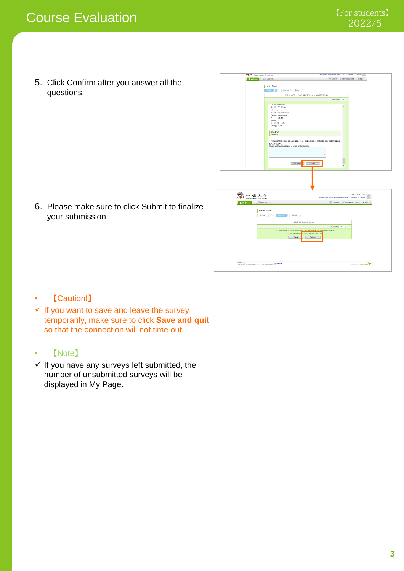5. Click Confirm after you answer all the questions.

6. Please make sure to click Submit to finalize your submission.

| A My Page           | <b>AFR</b> Courses                                                                                                                                                     |                                                                                                                                      | [E? Momos   2 Attendance Card   日本語                       |                  |  |
|---------------------|------------------------------------------------------------------------------------------------------------------------------------------------------------------------|--------------------------------------------------------------------------------------------------------------------------------------|-----------------------------------------------------------|------------------|--|
|                     | Survey Room<br>Enter<br>Confirm<br>Finish                                                                                                                              |                                                                                                                                      |                                                           |                  |  |
|                     |                                                                                                                                                                        | テストコース2:[tost] 夜流アンケート 2016年度冬学期                                                                                                     |                                                           |                  |  |
|                     |                                                                                                                                                                        |                                                                                                                                      | Questions 15                                              |                  |  |
|                     | Lib not agree at as<br>2. ○ そう思わない<br>Do not agree<br>3. @ どうらともいえない<br>Answers do not apply<br>4. 0 そう思う<br>Agree<br>6. 0 BK69E5<br>Strongly agree<br>自由記述<br>Opinion |                                                                                                                                      | $\overline{\phantom{0}}$                                  |                  |  |
|                     | この記述は提案をおりよくするために使われます。議論中傳を2け、提案改善に資する想想や意見を<br>記入してください。<br>Please write your opinions to brush up the course.                                                       |                                                                                                                                      |                                                           |                  |  |
|                     | Save and qu                                                                                                                                                            | Confirm                                                                                                                              |                                                           |                  |  |
|                     |                                                                                                                                                                        |                                                                                                                                      |                                                           |                  |  |
|                     |                                                                                                                                                                        |                                                                                                                                      | educational affairs department 03 sub   Settings   Logout | 2016-12-21 (Wed) |  |
| C 一橋大学<br>A My Page | <b>API Courses</b>                                                                                                                                                     |                                                                                                                                      | Memos @'Attendance Card                                   | 日本語              |  |
| ı                   | Survey Room<br>Confirm<br>Enter<br>Finish                                                                                                                              |                                                                                                                                      |                                                           |                  |  |
|                     |                                                                                                                                                                        | Click the 'Submit' button.                                                                                                           |                                                           |                  |  |
|                     | Back                                                                                                                                                                   | The survey is not yet submitted. Click the 'Submit' button below to submit.<br>+ To modify your answers, please click 'Bac<br>Submit | Answers 14 / 15                                           |                  |  |
|                     |                                                                                                                                                                        |                                                                                                                                      |                                                           |                  |  |

#### • 【Caution!】

- $\checkmark$  If you want to save and leave the survey temporarily, make sure to click **Save and quit** so that the connection will not time out.
- 【Note】
- $\checkmark$  If you have any surveys left submitted, the number of unsubmitted surveys will be displayed in My Page.